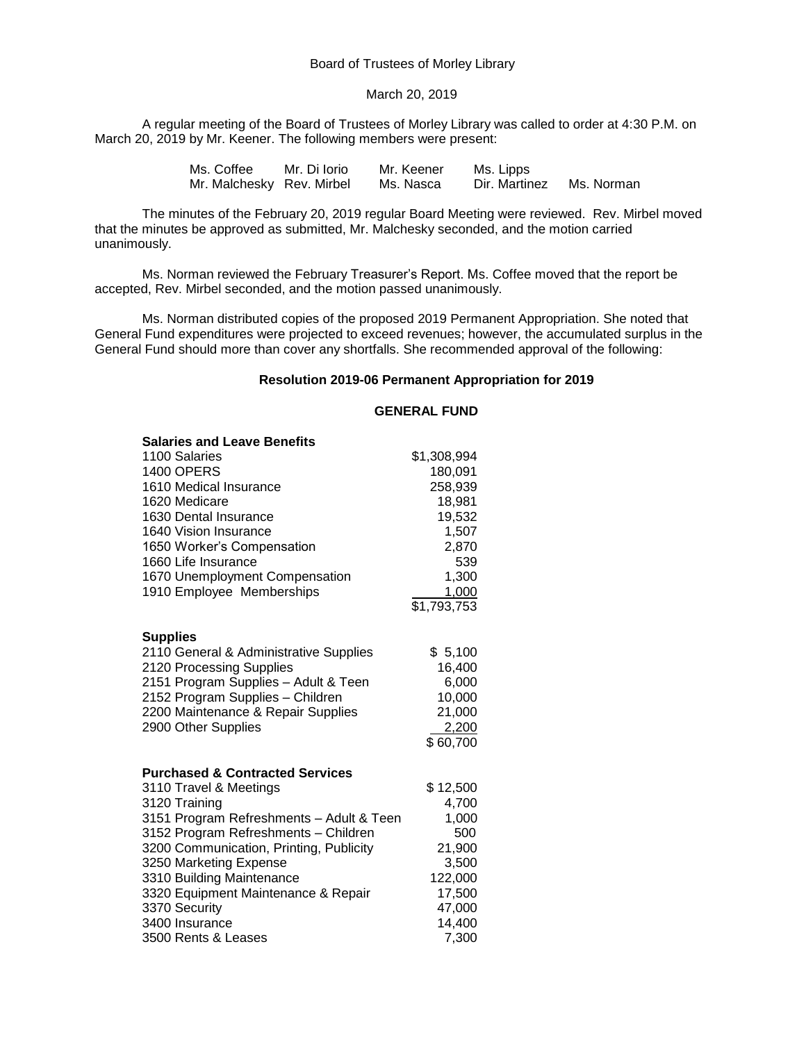### Board of Trustees of Morley Library

#### March 20, 2019

A regular meeting of the Board of Trustees of Morley Library was called to order at 4:30 P.M. on March 20, 2019 by Mr. Keener. The following members were present:

> Ms. Coffee Mr. Di Iorio Mr. Keener Ms. Lipps<br>Mr. Malchesky Rev. Mirbel Ms. Nasca Dir. Martinez Mr. Malchesky Rev. Mirbel Ms. Nasca Dir. Martinez Ms. Norman

The minutes of the February 20, 2019 regular Board Meeting were reviewed. Rev. Mirbel moved that the minutes be approved as submitted, Mr. Malchesky seconded, and the motion carried unanimously.

Ms. Norman reviewed the February Treasurer's Report. Ms. Coffee moved that the report be accepted, Rev. Mirbel seconded, and the motion passed unanimously.

Ms. Norman distributed copies of the proposed 2019 Permanent Appropriation. She noted that General Fund expenditures were projected to exceed revenues; however, the accumulated surplus in the General Fund should more than cover any shortfalls. She recommended approval of the following:

# **Resolution 2019-06 Permanent Appropriation for 2019**

| <b>Salaries and Leave Benefits</b>         |             |
|--------------------------------------------|-------------|
| 1100 Salaries                              | \$1,308,994 |
| <b>1400 OPERS</b>                          | 180,091     |
| 1610 Medical Insurance                     | 258,939     |
| 1620 Medicare                              | 18,981      |
| 1630 Dental Insurance                      | 19,532      |
| 1640 Vision Insurance                      | 1,507       |
| 1650 Worker's Compensation                 | 2,870       |
| 1660 Life Insurance                        | 539         |
| 1670 Unemployment Compensation             | 1,300       |
| 1910 Employee Memberships                  | 1,000       |
|                                            | \$1,793,753 |
|                                            |             |
| <b>Supplies</b>                            |             |
| 2110 General & Administrative Supplies     | \$5,100     |
| 2120 Processing Supplies                   | 16,400      |
| 2151 Program Supplies - Adult & Teen       | 6,000       |
| 2152 Program Supplies - Children           | 10,000      |
| 2200 Maintenance & Repair Supplies         | 21,000      |
| 2900 Other Supplies                        | 2,200       |
|                                            | \$60,700    |
|                                            |             |
| <b>Purchased &amp; Contracted Services</b> |             |
| 3110 Travel & Meetings                     | \$12,500    |
| 3120 Training                              | 4,700       |
| 3151 Program Refreshments - Adult & Teen   | 1,000       |
| 3152 Program Refreshments - Children       | 500         |
| 3200 Communication, Printing, Publicity    | 21,900      |
| 3250 Marketing Expense                     | 3,500       |
| 3310 Building Maintenance                  | 122,000     |
| 3320 Equipment Maintenance & Repair        | 17,500      |
| 3370 Security                              | 47,000      |
| 3400 Insurance                             | 14,400      |
| 3500 Rents & Leases                        | 7,300       |

#### **GENERAL FUND**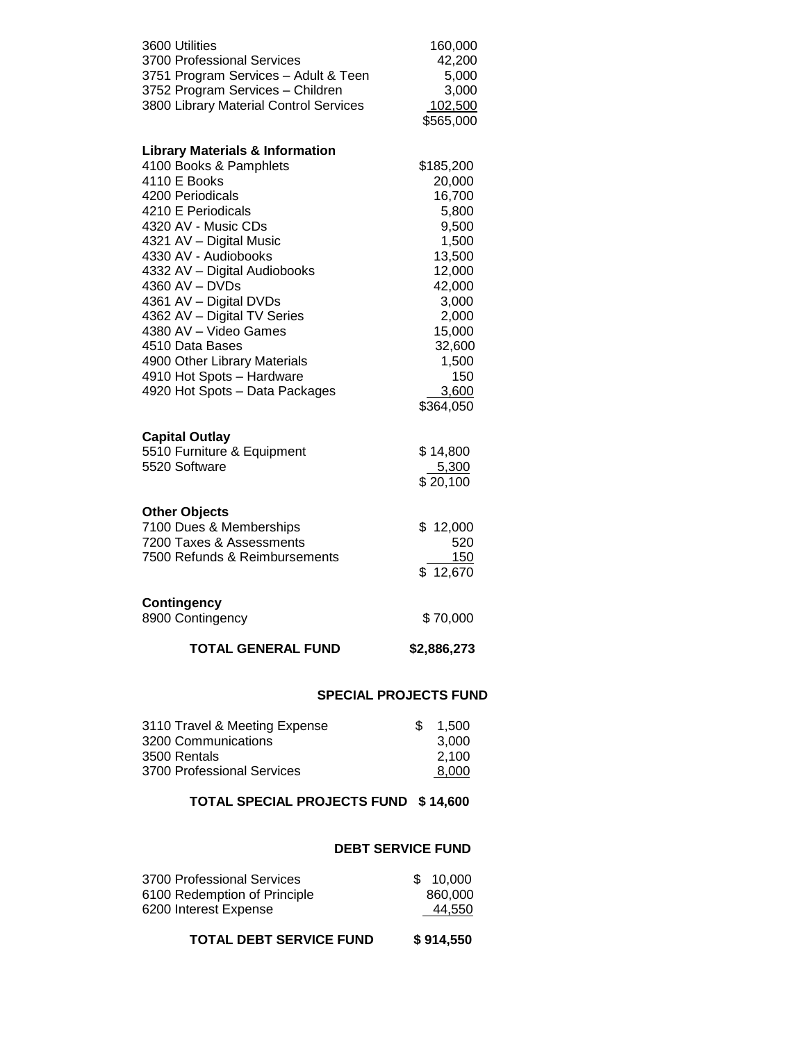| 3600 Utilities<br>3700 Professional Services<br>3751 Program Services - Adult & Teen<br>3752 Program Services - Children<br>3800 Library Material Control Services | 160,000<br>42,200<br>5,000<br>3,000<br>102,500<br>\$565,000 |
|--------------------------------------------------------------------------------------------------------------------------------------------------------------------|-------------------------------------------------------------|
| <b>Library Materials &amp; Information</b>                                                                                                                         |                                                             |
| 4100 Books & Pamphlets                                                                                                                                             | \$185,200                                                   |
| 4110 E Books                                                                                                                                                       | 20,000                                                      |
| 4200 Periodicals                                                                                                                                                   | 16,700                                                      |
| 4210 E Periodicals                                                                                                                                                 | 5,800                                                       |
| 4320 AV - Music CDs                                                                                                                                                | 9,500                                                       |
| 4321 AV - Digital Music                                                                                                                                            | 1,500                                                       |
| 4330 AV - Audiobooks                                                                                                                                               | 13,500                                                      |
| 4332 AV - Digital Audiobooks                                                                                                                                       | 12,000                                                      |
| 4360 AV - DVDs                                                                                                                                                     | 42,000                                                      |
| 4361 AV - Digital DVDs                                                                                                                                             | 3,000                                                       |
| 4362 AV - Digital TV Series                                                                                                                                        | 2,000                                                       |
| 4380 AV - Video Games                                                                                                                                              | 15,000                                                      |
| 4510 Data Bases                                                                                                                                                    | 32,600                                                      |
| 4900 Other Library Materials<br>4910 Hot Spots - Hardware                                                                                                          | 1,500<br>150                                                |
| 4920 Hot Spots - Data Packages                                                                                                                                     | 3,600                                                       |
|                                                                                                                                                                    | \$364,050                                                   |
|                                                                                                                                                                    |                                                             |
| <b>Capital Outlay</b>                                                                                                                                              |                                                             |
| 5510 Furniture & Equipment                                                                                                                                         | \$14,800                                                    |
| 5520 Software                                                                                                                                                      | 5,300                                                       |
|                                                                                                                                                                    | \$20,100                                                    |
| <b>Other Objects</b>                                                                                                                                               |                                                             |
| 7100 Dues & Memberships                                                                                                                                            | \$12,000                                                    |
| 7200 Taxes & Assessments                                                                                                                                           | 520                                                         |
| 7500 Refunds & Reimbursements                                                                                                                                      | 150                                                         |
|                                                                                                                                                                    | \$12,670                                                    |
| <b>Contingency</b>                                                                                                                                                 |                                                             |
| 8900 Contingency                                                                                                                                                   | \$70,000                                                    |
|                                                                                                                                                                    |                                                             |
| <b>TOTAL GENERAL FUND</b>                                                                                                                                          | \$2,886,273                                                 |
|                                                                                                                                                                    |                                                             |

# **SPECIAL PROJECTS FUND**

| 3110 Travel & Meeting Expense | 1.500 |
|-------------------------------|-------|
| 3200 Communications           | 3.000 |
| 3500 Rentals                  | 2.100 |
| 3700 Professional Services    | 8.000 |

# **TOTAL SPECIAL PROJECTS FUND \$ 14,600**

## **DEBT SERVICE FUND**

| 3700 Professional Services   | \$10,000 |
|------------------------------|----------|
| 6100 Redemption of Principle | 860,000  |
| 6200 Interest Expense        | 44,550   |
|                              |          |

# **TOTAL DEBT SERVICE FUND \$914,550**